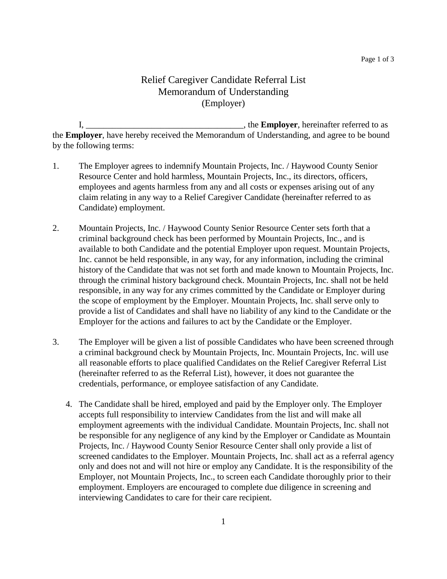## Relief Caregiver Candidate Referral List Memorandum of Understanding (Employer)

I, \_\_\_\_\_\_\_\_\_\_\_\_\_\_\_\_\_\_\_\_\_\_\_\_\_\_\_\_\_\_\_\_\_\_\_\_, the **Employer**, hereinafter referred to as the **Employer**, have hereby received the Memorandum of Understanding, and agree to be bound by the following terms:

- 1. The Employer agrees to indemnify Mountain Projects, Inc. / Haywood County Senior Resource Center and hold harmless, Mountain Projects, Inc., its directors, officers, employees and agents harmless from any and all costs or expenses arising out of any claim relating in any way to a Relief Caregiver Candidate (hereinafter referred to as Candidate) employment.
- 2. Mountain Projects, Inc. / Haywood County Senior Resource Center sets forth that a criminal background check has been performed by Mountain Projects, Inc., and is available to both Candidate and the potential Employer upon request. Mountain Projects, Inc. cannot be held responsible, in any way, for any information, including the criminal history of the Candidate that was not set forth and made known to Mountain Projects, Inc. through the criminal history background check. Mountain Projects, Inc. shall not be held responsible, in any way for any crimes committed by the Candidate or Employer during the scope of employment by the Employer. Mountain Projects, Inc. shall serve only to provide a list of Candidates and shall have no liability of any kind to the Candidate or the Employer for the actions and failures to act by the Candidate or the Employer.
- 3. The Employer will be given a list of possible Candidates who have been screened through a criminal background check by Mountain Projects, Inc. Mountain Projects, Inc. will use all reasonable efforts to place qualified Candidates on the Relief Caregiver Referral List (hereinafter referred to as the Referral List), however, it does not guarantee the credentials, performance, or employee satisfaction of any Candidate.
	- 4. The Candidate shall be hired, employed and paid by the Employer only. The Employer accepts full responsibility to interview Candidates from the list and will make all employment agreements with the individual Candidate. Mountain Projects, Inc. shall not be responsible for any negligence of any kind by the Employer or Candidate as Mountain Projects, Inc. / Haywood County Senior Resource Center shall only provide a list of screened candidates to the Employer. Mountain Projects, Inc. shall act as a referral agency only and does not and will not hire or employ any Candidate. It is the responsibility of the Employer, not Mountain Projects, Inc., to screen each Candidate thoroughly prior to their employment. Employers are encouraged to complete due diligence in screening and interviewing Candidates to care for their care recipient.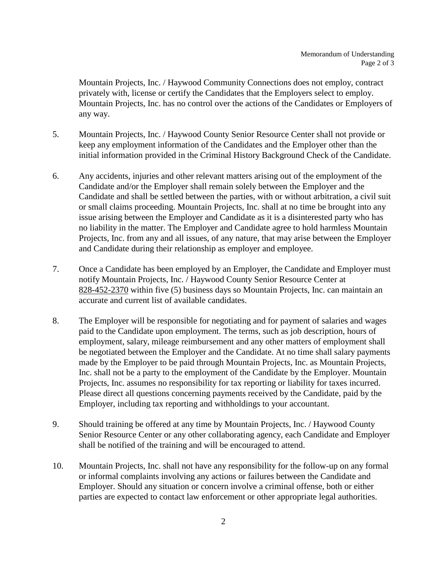Mountain Projects, Inc. / Haywood Community Connections does not employ, contract privately with, license or certify the Candidates that the Employers select to employ. Mountain Projects, Inc. has no control over the actions of the Candidates or Employers of any way.

- 5. Mountain Projects, Inc. / Haywood County Senior Resource Center shall not provide or keep any employment information of the Candidates and the Employer other than the initial information provided in the Criminal History Background Check of the Candidate.
- 6. Any accidents, injuries and other relevant matters arising out of the employment of the Candidate and/or the Employer shall remain solely between the Employer and the Candidate and shall be settled between the parties, with or without arbitration, a civil suit or small claims proceeding. Mountain Projects, Inc. shall at no time be brought into any issue arising between the Employer and Candidate as it is a disinterested party who has no liability in the matter. The Employer and Candidate agree to hold harmless Mountain Projects, Inc. from any and all issues, of any nature, that may arise between the Employer and Candidate during their relationship as employer and employee.
- 7. Once a Candidate has been employed by an Employer, the Candidate and Employer must notify Mountain Projects, Inc. / Haywood County Senior Resource Center at 828-452-2370 within five (5) business days so Mountain Projects, Inc. can maintain an accurate and current list of available candidates.
- 8. The Employer will be responsible for negotiating and for payment of salaries and wages paid to the Candidate upon employment. The terms, such as job description, hours of employment, salary, mileage reimbursement and any other matters of employment shall be negotiated between the Employer and the Candidate. At no time shall salary payments made by the Employer to be paid through Mountain Projects, Inc. as Mountain Projects, Inc. shall not be a party to the employment of the Candidate by the Employer. Mountain Projects, Inc. assumes no responsibility for tax reporting or liability for taxes incurred. Please direct all questions concerning payments received by the Candidate, paid by the Employer, including tax reporting and withholdings to your accountant.
- 9. Should training be offered at any time by Mountain Projects, Inc. / Haywood County Senior Resource Center or any other collaborating agency, each Candidate and Employer shall be notified of the training and will be encouraged to attend.
- 10. Mountain Projects, Inc. shall not have any responsibility for the follow-up on any formal or informal complaints involving any actions or failures between the Candidate and Employer. Should any situation or concern involve a criminal offense, both or either parties are expected to contact law enforcement or other appropriate legal authorities.